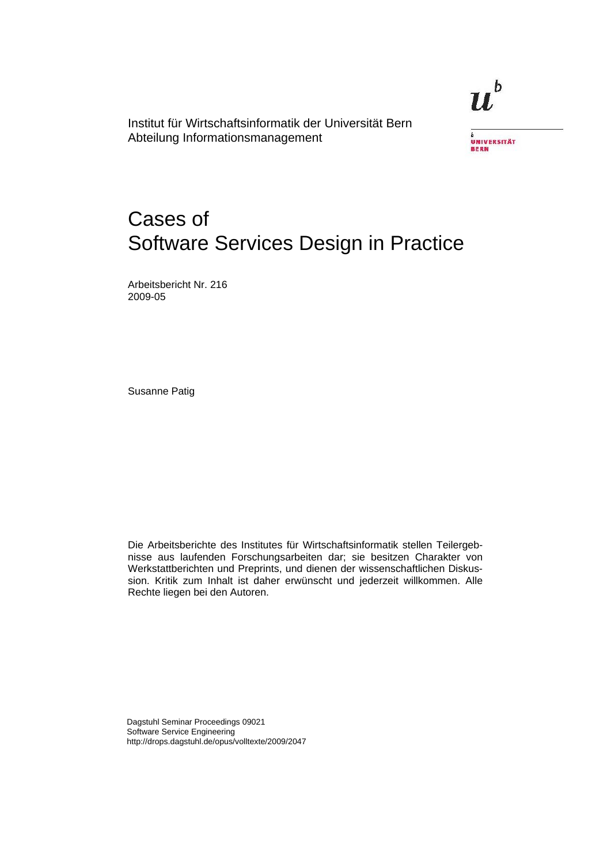Institut für Wirtschaftsinformatik der Universität Bern Abteilung Informationsmanagement

 $\boldsymbol{u}^{\text{\tiny b}}$ 



# Cases of Software Services Design in Practice

Arbeitsbericht Nr. 216 2009-05

Susanne Patig

Die Arbeitsberichte des Institutes für Wirtschaftsinformatik stellen Teilergebnisse aus laufenden Forschungsarbeiten dar; sie besitzen Charakter von Werkstattberichten und Preprints, und dienen der wissenschaftlichen Diskussion. Kritik zum Inhalt ist daher erwünscht und jederzeit willkommen. Alle Rechte liegen bei den Autoren.

Dagstuhl Seminar Proceedings 09021 Software Service Engineering http://drops.dagstuhl.de/opus/volltexte/2009/2047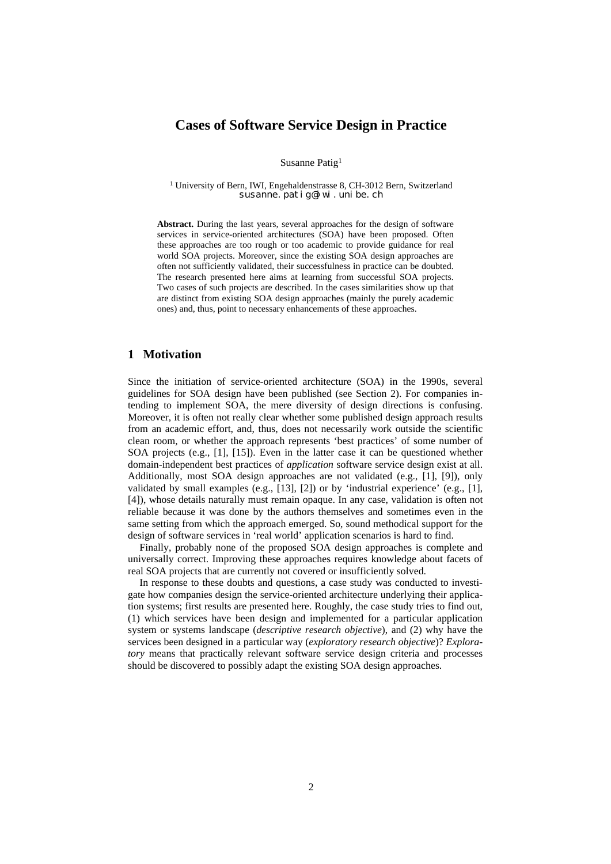# **Cases of Software Service Design in Practice**

Susanne Patig1

<sup>1</sup> University of Bern, IWI, Engehaldenstrasse 8, CH-3012 Bern, Switzerland susanne.patig@iwi.unibe.ch

**Abstract.** During the last years, several approaches for the design of software services in service-oriented architectures (SOA) have been proposed. Often these approaches are too rough or too academic to provide guidance for real world SOA projects. Moreover, since the existing SOA design approaches are often not sufficiently validated, their successfulness in practice can be doubted. The research presented here aims at learning from successful SOA projects. Two cases of such projects are described. In the cases similarities show up that are distinct from existing SOA design approaches (mainly the purely academic ones) and, thus, point to necessary enhancements of these approaches.

## **1 Motivation**

Since the initiation of service-oriented architecture (SOA) in the 1990s, several guidelines for SOA design have been published (see Section 2). For companies intending to implement SOA, the mere diversity of design directions is confusing. Moreover, it is often not really clear whether some published design approach results from an academic effort, and, thus, does not necessarily work outside the scientific clean room, or whether the approach represents 'best practices' of some number of SOA projects (e.g., [1], [15]). Even in the latter case it can be questioned whether domain-independent best practices of *application* software service design exist at all. Additionally, most SOA design approaches are not validated (e.g., [1], [9]), only validated by small examples (e.g.,  $[13]$ ,  $[2]$ ) or by 'industrial experience' (e.g.,  $[1]$ , [4]), whose details naturally must remain opaque. In any case, validation is often not reliable because it was done by the authors themselves and sometimes even in the same setting from which the approach emerged. So, sound methodical support for the design of software services in 'real world' application scenarios is hard to find.

Finally, probably none of the proposed SOA design approaches is complete and universally correct. Improving these approaches requires knowledge about facets of real SOA projects that are currently not covered or insufficiently solved.

In response to these doubts and questions, a case study was conducted to investigate how companies design the service-oriented architecture underlying their application systems; first results are presented here. Roughly, the case study tries to find out, (1) which services have been design and implemented for a particular application system or systems landscape (*descriptive research objective*), and (2) why have the services been designed in a particular way (*exploratory research objective*)? *Exploratory* means that practically relevant software service design criteria and processes should be discovered to possibly adapt the existing SOA design approaches.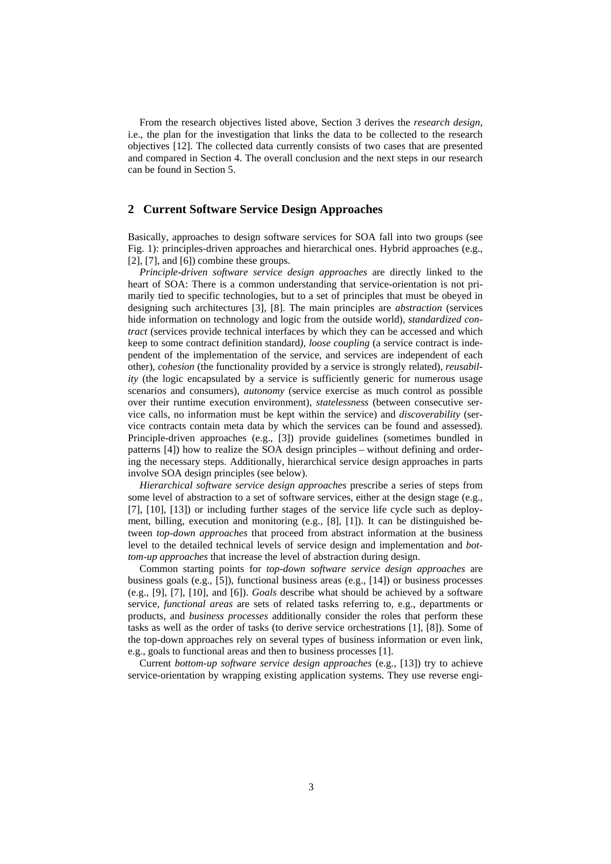From the research objectives listed above, Section 3 derives the *research design*, i.e., the plan for the investigation that links the data to be collected to the research objectives [12]. The collected data currently consists of two cases that are presented and compared in Section 4. The overall conclusion and the next steps in our research can be found in Section 5.

#### **2 Current Software Service Design Approaches**

Basically, approaches to design software services for SOA fall into two groups (see Fig. 1): principles-driven approaches and hierarchical ones. Hybrid approaches (e.g., [2], [7], and [6]) combine these groups.

*Principle-driven software service design approaches* are directly linked to the heart of SOA: There is a common understanding that service-orientation is not primarily tied to specific technologies, but to a set of principles that must be obeyed in designing such architectures [3], [8]. The main principles are *abstraction* (services hide information on technology and logic from the outside world), *standardized contract* (services provide technical interfaces by which they can be accessed and which keep to some contract definition standard*), loose coupling* (a service contract is independent of the implementation of the service, and services are independent of each other), *cohesion* (the functionality provided by a service is strongly related), *reusability* (the logic encapsulated by a service is sufficiently generic for numerous usage scenarios and consumers), *autonomy* (service exercise as much control as possible over their runtime execution environment), *statelessness* (between consecutive service calls, no information must be kept within the service) and *discoverability* (service contracts contain meta data by which the services can be found and assessed). Principle-driven approaches (e.g., [3]) provide guidelines (sometimes bundled in patterns [4]) how to realize the SOA design principles – without defining and ordering the necessary steps. Additionally, hierarchical service design approaches in parts involve SOA design principles (see below).

*Hierarchical software service design approaches* prescribe a series of steps from some level of abstraction to a set of software services, either at the design stage (e.g., [7], [10], [13]) or including further stages of the service life cycle such as deployment, billing, execution and monitoring (e.g., [8], [1]). It can be distinguished between *top-down approaches* that proceed from abstract information at the business level to the detailed technical levels of service design and implementation and *bottom-up approaches* that increase the level of abstraction during design.

Common starting points for *top-down software service design approaches* are business goals (e.g., [5]), functional business areas (e.g., [14]) or business processes (e.g., [9], [7], [10], and [6]). *Goals* describe what should be achieved by a software service, *functional areas* are sets of related tasks referring to, e.g., departments or products, and *business processes* additionally consider the roles that perform these tasks as well as the order of tasks (to derive service orchestrations [1], [8]). Some of the top-down approaches rely on several types of business information or even link, e.g., goals to functional areas and then to business processes [1].

Current *bottom-up software service design approaches* (e.g., [13]) try to achieve service-orientation by wrapping existing application systems. They use reverse engi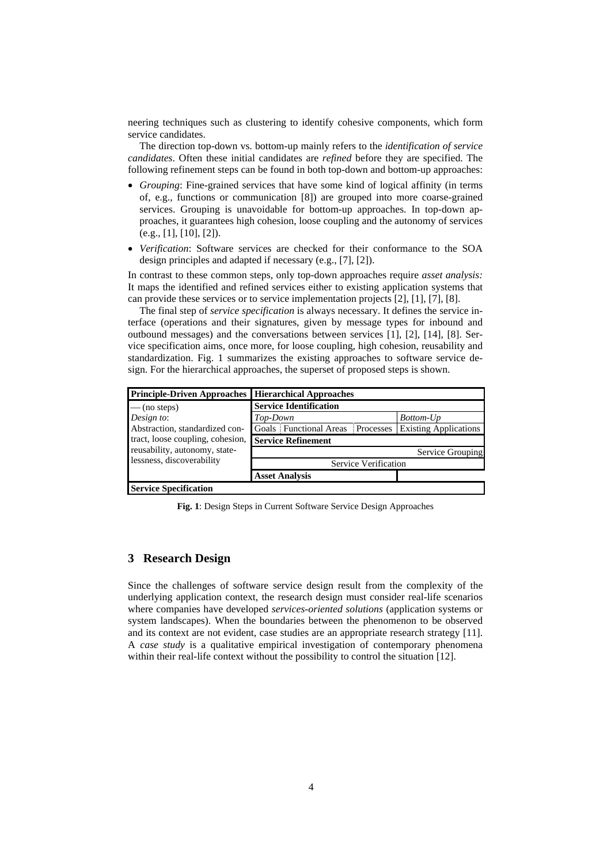neering techniques such as clustering to identify cohesive components, which form service candidates.

The direction top-down vs. bottom-up mainly refers to the *identification of service candidates*. Often these initial candidates are *refined* before they are specified. The following refinement steps can be found in both top-down and bottom-up approaches:

- *Grouping*: Fine-grained services that have some kind of logical affinity (in terms of, e.g., functions or communication [8]) are grouped into more coarse-grained services. Grouping is unavoidable for bottom-up approaches. In top-down approaches, it guarantees high cohesion, loose coupling and the autonomy of services (e.g., [1], [10], [2]).
- *Verification*: Software services are checked for their conformance to the SOA design principles and adapted if necessary (e.g., [7], [2]).

In contrast to these common steps, only top-down approaches require *asset analysis:*  It maps the identified and refined services either to existing application systems that can provide these services or to service implementation projects [2], [1], [7], [8].

The final step of *service specification* is always necessary. It defines the service interface (operations and their signatures, given by message types for inbound and outbound messages) and the conversations between services [1], [2], [14], [8]. Service specification aims, once more, for loose coupling, high cohesion, reusability and standardization. Fig. 1 summarizes the existing approaches to software service design. For the hierarchical approaches, the superset of proposed steps is shown.

| <b>Principle-Driven Approaches</b>                                                             | <b>Hierarchical Approaches</b>      |                              |
|------------------------------------------------------------------------------------------------|-------------------------------------|------------------------------|
| $-$ (no steps)                                                                                 | <b>Service Identification</b>       |                              |
| Design to:                                                                                     | Top-Down                            | Bottom-Up                    |
| Abstraction, standardized con-                                                                 | Goals Functional Areas<br>Processes | <b>Existing Applications</b> |
| tract, loose coupling, cohesion,<br>reusability, autonomy, state-<br>lessness, discoverability | <b>Service Refinement</b>           |                              |
|                                                                                                |                                     | Service Grouping             |
|                                                                                                | Service Verification                |                              |
|                                                                                                | <b>Asset Analysis</b>               |                              |
| <b>Service Specification</b>                                                                   |                                     |                              |

**Fig. 1**: Design Steps in Current Software Service Design Approaches

## **3 Research Design**

Since the challenges of software service design result from the complexity of the underlying application context, the research design must consider real-life scenarios where companies have developed *services-oriented solutions* (application systems or system landscapes). When the boundaries between the phenomenon to be observed and its context are not evident, case studies are an appropriate research strategy [11]. A *case study* is a qualitative empirical investigation of contemporary phenomena within their real-life context without the possibility to control the situation [12].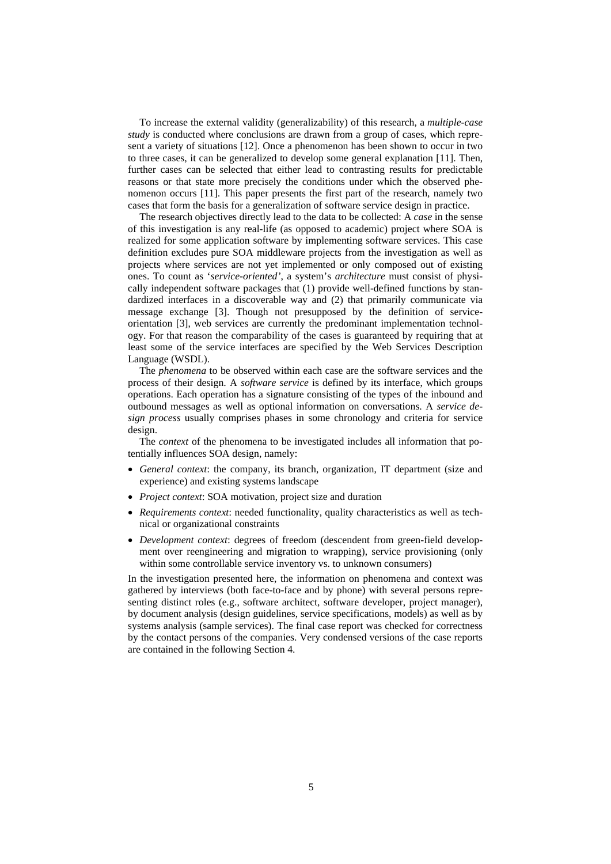To increase the external validity (generalizability) of this research, a *multiple-case study* is conducted where conclusions are drawn from a group of cases, which represent a variety of situations [12]. Once a phenomenon has been shown to occur in two to three cases, it can be generalized to develop some general explanation [11]. Then, further cases can be selected that either lead to contrasting results for predictable reasons or that state more precisely the conditions under which the observed phenomenon occurs [11]. This paper presents the first part of the research, namely two cases that form the basis for a generalization of software service design in practice.

The research objectives directly lead to the data to be collected: A *case* in the sense of this investigation is any real-life (as opposed to academic) project where SOA is realized for some application software by implementing software services. This case definition excludes pure SOA middleware projects from the investigation as well as projects where services are not yet implemented or only composed out of existing ones. To count as '*service-oriented'*, a system's *architecture* must consist of physically independent software packages that (1) provide well-defined functions by standardized interfaces in a discoverable way and (2) that primarily communicate via message exchange [3]. Though not presupposed by the definition of serviceorientation [3], web services are currently the predominant implementation technology. For that reason the comparability of the cases is guaranteed by requiring that at least some of the service interfaces are specified by the Web Services Description Language (WSDL).

The *phenomena* to be observed within each case are the software services and the process of their design. A *software service* is defined by its interface, which groups operations. Each operation has a signature consisting of the types of the inbound and outbound messages as well as optional information on conversations. A *service design process* usually comprises phases in some chronology and criteria for service design.

The *context* of the phenomena to be investigated includes all information that potentially influences SOA design, namely:

- *General context*: the company, its branch, organization, IT department (size and experience) and existing systems landscape
- *Project context*: SOA motivation, project size and duration
- *Requirements context*: needed functionality, quality characteristics as well as technical or organizational constraints
- *Development context*: degrees of freedom (descendent from green-field development over reengineering and migration to wrapping), service provisioning (only within some controllable service inventory vs. to unknown consumers)

In the investigation presented here, the information on phenomena and context was gathered by interviews (both face-to-face and by phone) with several persons representing distinct roles (e.g., software architect, software developer, project manager), by document analysis (design guidelines, service specifications, models) as well as by systems analysis (sample services). The final case report was checked for correctness by the contact persons of the companies. Very condensed versions of the case reports are contained in the following Section 4.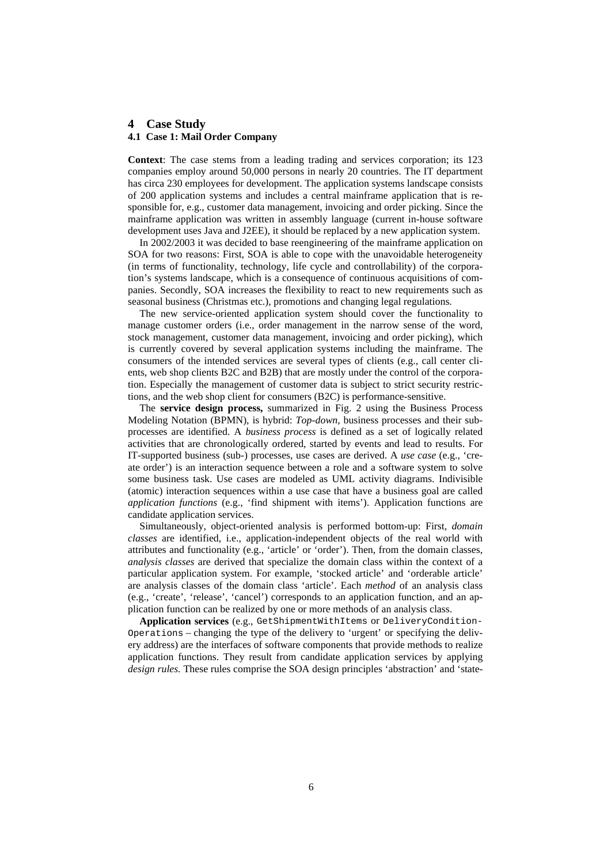### **4 Case Study 4.1 Case 1: Mail Order Company**

**Context**: The case stems from a leading trading and services corporation; its 123 companies employ around 50,000 persons in nearly 20 countries. The IT department

has circa 230 employees for development. The application systems landscape consists of 200 application systems and includes a central mainframe application that is responsible for, e.g., customer data management, invoicing and order picking. Since the mainframe application was written in assembly language (current in-house software development uses Java and J2EE), it should be replaced by a new application system.

In 2002/2003 it was decided to base reengineering of the mainframe application on SOA for two reasons: First, SOA is able to cope with the unavoidable heterogeneity (in terms of functionality, technology, life cycle and controllability) of the corporation's systems landscape, which is a consequence of continuous acquisitions of companies. Secondly, SOA increases the flexibility to react to new requirements such as seasonal business (Christmas etc.), promotions and changing legal regulations.

The new service-oriented application system should cover the functionality to manage customer orders (i.e., order management in the narrow sense of the word, stock management, customer data management, invoicing and order picking), which is currently covered by several application systems including the mainframe. The consumers of the intended services are several types of clients (e.g., call center clients, web shop clients B2C and B2B) that are mostly under the control of the corporation. Especially the management of customer data is subject to strict security restrictions, and the web shop client for consumers (B2C) is performance-sensitive.

The **service design process,** summarized in Fig. 2 using the Business Process Modeling Notation (BPMN), is hybrid: *Top-down,* business processes and their subprocesses are identified. A *business process* is defined as a set of logically related activities that are chronologically ordered, started by events and lead to results. For IT-supported business (sub-) processes, use cases are derived. A *use case* (e.g., 'create order') is an interaction sequence between a role and a software system to solve some business task. Use cases are modeled as UML activity diagrams. Indivisible (atomic) interaction sequences within a use case that have a business goal are called *application functions* (e.g., 'find shipment with items'). Application functions are candidate application services.

Simultaneously, object-oriented analysis is performed bottom-up: First, *domain classes* are identified, i.e., application-independent objects of the real world with attributes and functionality (e.g., 'article' or 'order'). Then, from the domain classes, *analysis classes* are derived that specialize the domain class within the context of a particular application system. For example, 'stocked article' and 'orderable article' are analysis classes of the domain class 'article'. Each *method* of an analysis class (e.g., 'create', 'release', 'cancel') corresponds to an application function, and an application function can be realized by one or more methods of an analysis class.

**Application services** (e.g., GetShipmentWithItems or DeliveryCondition-Operations – changing the type of the delivery to 'urgent' or specifying the delivery address) are the interfaces of software components that provide methods to realize application functions. They result from candidate application services by applying *design rules.* These rules comprise the SOA design principles 'abstraction' and 'state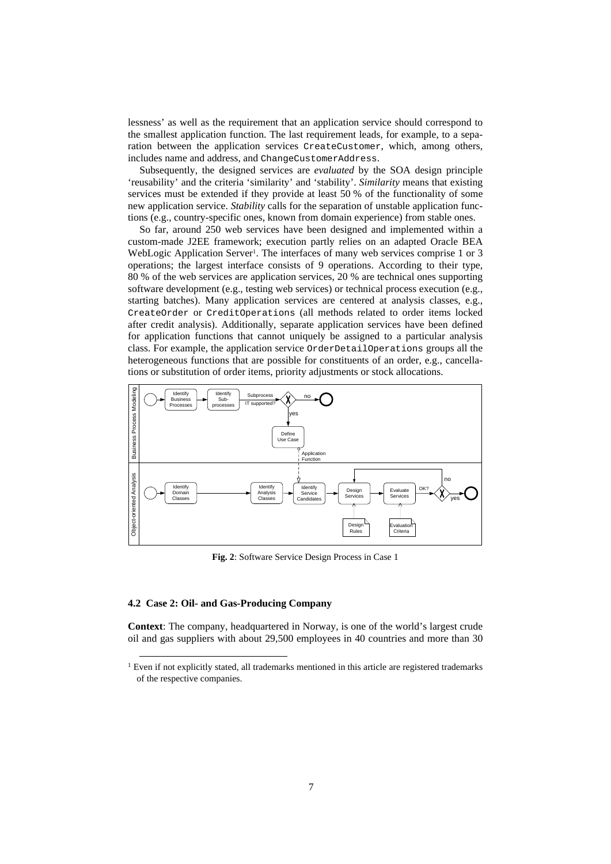lessness' as well as the requirement that an application service should correspond to the smallest application function. The last requirement leads, for example, to a separation between the application services CreateCustomer, which, among others, includes name and address, and ChangeCustomerAddress.

Subsequently, the designed services are *evaluated* by the SOA design principle 'reusability' and the criteria 'similarity' and 'stability'. *Similarity* means that existing services must be extended if they provide at least 50 % of the functionality of some new application service. *Stability* calls for the separation of unstable application functions (e.g., country-specific ones, known from domain experience) from stable ones.

So far, around 250 web services have been designed and implemented within a custom-made J2EE framework; execution partly relies on an adapted Oracle BEA WebLogic Application Server<sup>1</sup>. The interfaces of many web services comprise 1 or 3 operations; the largest interface consists of 9 operations. According to their type, 80 % of the web services are application services, 20 % are technical ones supporting software development (e.g., testing web services) or technical process execution (e.g., starting batches). Many application services are centered at analysis classes, e.g., CreateOrder or CreditOperations (all methods related to order items locked after credit analysis). Additionally, separate application services have been defined for application functions that cannot uniquely be assigned to a particular analysis class. For example, the application service OrderDetailOperations groups all the heterogeneous functions that are possible for constituents of an order, e.g., cancellations or substitution of order items, priority adjustments or stock allocations.



**Fig. 2**: Software Service Design Process in Case 1

#### **4.2 Case 2: Oil- and Gas-Producing Company**

**Context**: The company, headquartered in Norway, is one of the world's largest crude oil and gas suppliers with about 29,500 employees in 40 countries and more than 30

<sup>&</sup>lt;sup>1</sup> Even if not explicitly stated, all trademarks mentioned in this article are registered trademarks of the respective companies.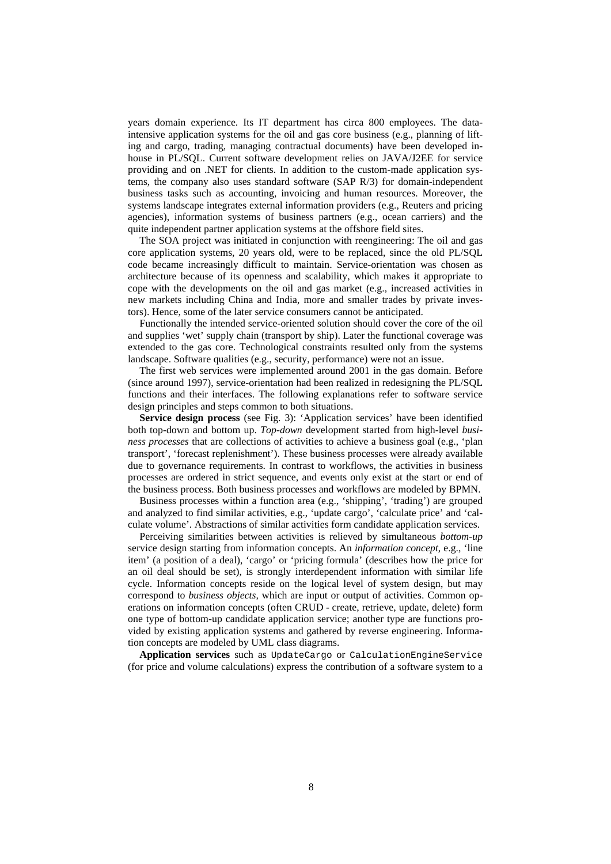years domain experience. Its IT department has circa 800 employees. The dataintensive application systems for the oil and gas core business (e.g., planning of lifting and cargo, trading, managing contractual documents) have been developed inhouse in PL/SQL. Current software development relies on JAVA/J2EE for service providing and on .NET for clients. In addition to the custom-made application systems, the company also uses standard software (SAP R/3) for domain-independent business tasks such as accounting, invoicing and human resources. Moreover, the systems landscape integrates external information providers (e.g., Reuters and pricing agencies), information systems of business partners (e.g., ocean carriers) and the quite independent partner application systems at the offshore field sites.

The SOA project was initiated in conjunction with reengineering: The oil and gas core application systems, 20 years old, were to be replaced, since the old PL/SQL code became increasingly difficult to maintain. Service-orientation was chosen as architecture because of its openness and scalability, which makes it appropriate to cope with the developments on the oil and gas market (e.g., increased activities in new markets including China and India, more and smaller trades by private investors). Hence, some of the later service consumers cannot be anticipated.

Functionally the intended service-oriented solution should cover the core of the oil and supplies 'wet' supply chain (transport by ship). Later the functional coverage was extended to the gas core. Technological constraints resulted only from the systems landscape. Software qualities (e.g., security, performance) were not an issue.

The first web services were implemented around 2001 in the gas domain. Before (since around 1997), service-orientation had been realized in redesigning the PL/SQL functions and their interfaces. The following explanations refer to software service design principles and steps common to both situations.

**Service design process** (see Fig. 3): 'Application services' have been identified both top-down and bottom up. *Top-down* development started from high-level *business processes* that are collections of activities to achieve a business goal (e.g., 'plan transport', 'forecast replenishment'). These business processes were already available due to governance requirements. In contrast to workflows, the activities in business processes are ordered in strict sequence, and events only exist at the start or end of the business process. Both business processes and workflows are modeled by BPMN.

Business processes within a function area (e.g., 'shipping', 'trading') are grouped and analyzed to find similar activities, e.g., 'update cargo', 'calculate price' and 'calculate volume'. Abstractions of similar activities form candidate application services.

Perceiving similarities between activities is relieved by simultaneous *bottom-up* service design starting from information concepts. An *information concept*, e.g., 'line item' (a position of a deal), 'cargo' or 'pricing formula' (describes how the price for an oil deal should be set), is strongly interdependent information with similar life cycle. Information concepts reside on the logical level of system design, but may correspond to *business objects,* which are input or output of activities. Common operations on information concepts (often CRUD - create, retrieve, update, delete) form one type of bottom-up candidate application service; another type are functions provided by existing application systems and gathered by reverse engineering. Information concepts are modeled by UML class diagrams.

**Application services** such as UpdateCargo or CalculationEngineService (for price and volume calculations) express the contribution of a software system to a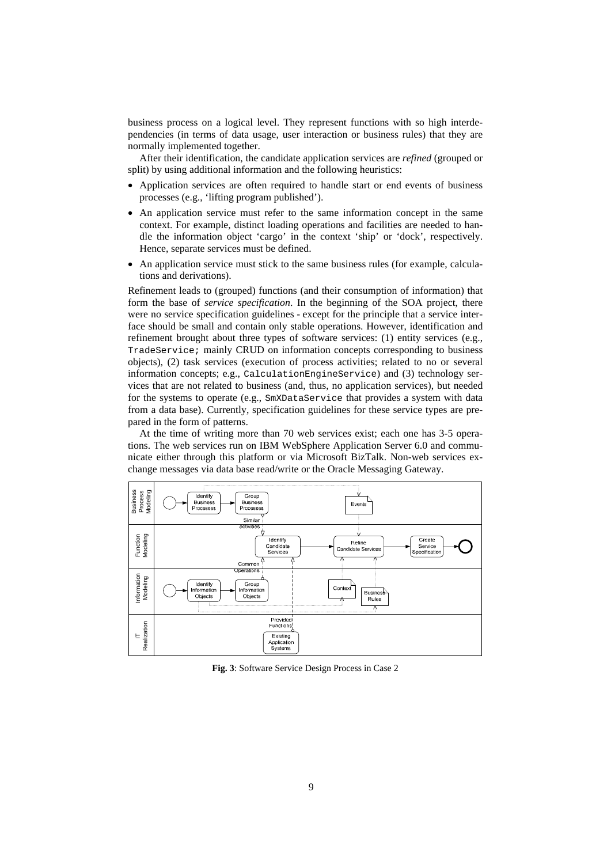business process on a logical level. They represent functions with so high interdependencies (in terms of data usage, user interaction or business rules) that they are normally implemented together.

After their identification, the candidate application services are *refined* (grouped or split) by using additional information and the following heuristics:

- Application services are often required to handle start or end events of business processes (e.g., 'lifting program published').
- An application service must refer to the same information concept in the same context. For example, distinct loading operations and facilities are needed to handle the information object 'cargo' in the context 'ship' or 'dock', respectively. Hence, separate services must be defined.
- An application service must stick to the same business rules (for example, calculations and derivations).

Refinement leads to (grouped) functions (and their consumption of information) that form the base of *service specification*. In the beginning of the SOA project, there were no service specification guidelines - except for the principle that a service interface should be small and contain only stable operations. However, identification and refinement brought about three types of software services: (1) entity services (e.g., TradeService; mainly CRUD on information concepts corresponding to business objects), (2) task services (execution of process activities; related to no or several information concepts; e.g., CalculationEngineService) and (3) technology services that are not related to business (and, thus, no application services), but needed for the systems to operate (e.g., SmXDataService that provides a system with data from a data base). Currently, specification guidelines for these service types are prepared in the form of patterns.

At the time of writing more than 70 web services exist; each one has 3-5 operations. The web services run on IBM WebSphere Application Server 6.0 and communicate either through this platform or via Microsoft BizTalk. Non-web services exchange messages via data base read/write or the Oracle Messaging Gateway.



**Fig. 3**: Software Service Design Process in Case 2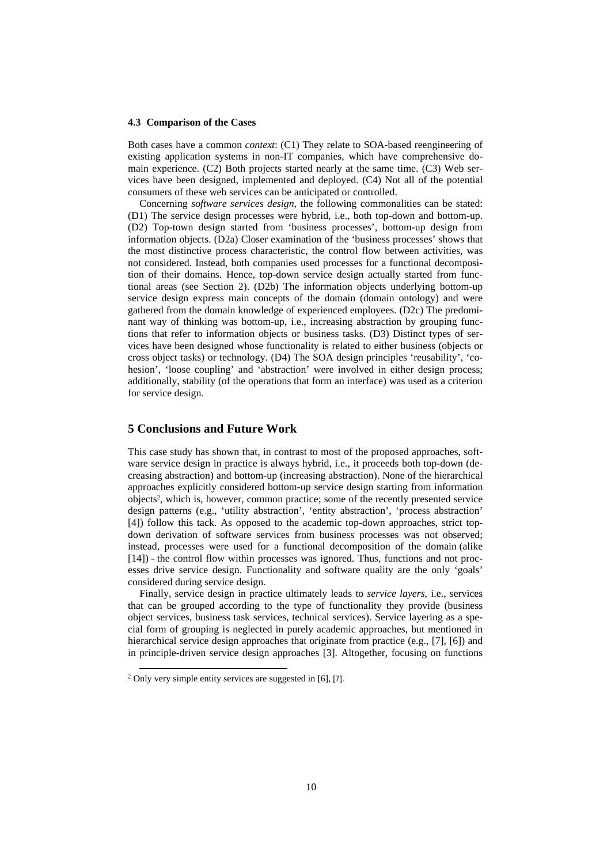#### **4.3 Comparison of the Cases**

Both cases have a common *context*: (C1) They relate to SOA-based reengineering of existing application systems in non-IT companies, which have comprehensive domain experience. (C2) Both projects started nearly at the same time. (C3) Web services have been designed, implemented and deployed. (C4) Not all of the potential consumers of these web services can be anticipated or controlled.

Concerning *software services design*, the following commonalities can be stated: (D1) The service design processes were hybrid, i.e., both top-down and bottom-up. (D2) Top-town design started from 'business processes', bottom-up design from information objects. (D2a) Closer examination of the 'business processes' shows that the most distinctive process characteristic, the control flow between activities, was not considered. Instead, both companies used processes for a functional decomposition of their domains. Hence, top-down service design actually started from functional areas (see Section 2). (D2b) The information objects underlying bottom-up service design express main concepts of the domain (domain ontology) and were gathered from the domain knowledge of experienced employees. (D2c) The predominant way of thinking was bottom-up, i.e., increasing abstraction by grouping functions that refer to information objects or business tasks. (D3) Distinct types of services have been designed whose functionality is related to either business (objects or cross object tasks) or technology. (D4) The SOA design principles 'reusability', 'cohesion', 'loose coupling' and 'abstraction' were involved in either design process; additionally, stability (of the operations that form an interface) was used as a criterion for service design.

#### **5 Conclusions and Future Work**

This case study has shown that, in contrast to most of the proposed approaches, software service design in practice is always hybrid, i.e., it proceeds both top-down (decreasing abstraction) and bottom-up (increasing abstraction). None of the hierarchical approaches explicitly considered bottom-up service design starting from information objects2, which is, however, common practice; some of the recently presented service design patterns (e.g., 'utility abstraction', 'entity abstraction', 'process abstraction' [4]) follow this tack. As opposed to the academic top-down approaches, strict topdown derivation of software services from business processes was not observed; instead, processes were used for a functional decomposition of the domain (alike [14]) - the control flow within processes was ignored. Thus, functions and not processes drive service design. Functionality and software quality are the only 'goals' considered during service design.

Finally, service design in practice ultimately leads to *service layers*, i.e., services that can be grouped according to the type of functionality they provide (business object services, business task services, technical services). Service layering as a special form of grouping is neglected in purely academic approaches, but mentioned in hierarchical service design approaches that originate from practice (e.g., [7], [6]) and in principle-driven service design approaches [3]. Altogether, focusing on functions

 <sup>2</sup> Only very simple entity services are suggested in [6], [7].